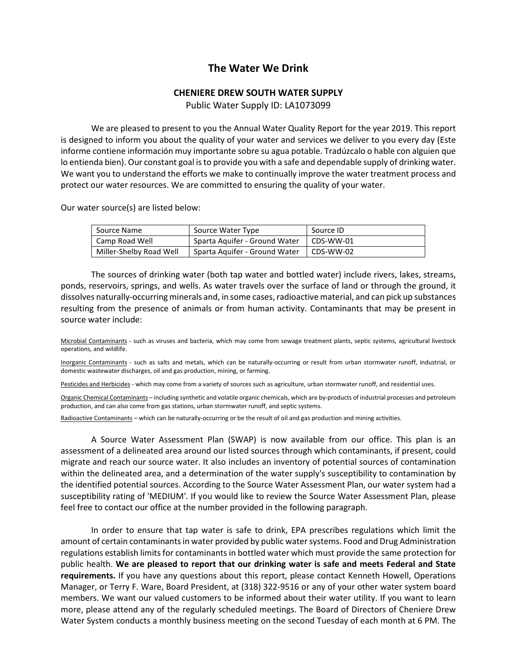## **The Water We Drink**

## **CHENIERE DREW SOUTH WATER SUPPLY**

Public Water Supply ID: LA1073099

 We are pleased to present to you the Annual Water Quality Report for the year 2019. This report is designed to inform you about the quality of your water and services we deliver to you every day (Este informe contiene información muy importante sobre su agua potable. Tradúzcalo o hable con alguien que lo entienda bien). Our constant goal is to provide you with a safe and dependable supply of drinking water. We want you to understand the efforts we make to continually improve the water treatment process and protect our water resources. We are committed to ensuring the quality of your water.

Our water source(s) are listed below:

| Source Name             | Source Water Type             | Source ID |
|-------------------------|-------------------------------|-----------|
| Camp Road Well          | Sparta Aquifer - Ground Water | CDS-WW-01 |
| Miller-Shelby Road Well | Sparta Aguifer - Ground Water | CDS-WW-02 |

 The sources of drinking water (both tap water and bottled water) include rivers, lakes, streams, ponds, reservoirs, springs, and wells. As water travels over the surface of land or through the ground, it dissolves naturally-occurring minerals and, in some cases, radioactive material, and can pick up substances resulting from the presence of animals or from human activity. Contaminants that may be present in source water include:

Microbial Contaminants - such as viruses and bacteria, which may come from sewage treatment plants, septic systems, agricultural livestock operations, and wildlife.

Inorganic Contaminants - such as salts and metals, which can be naturally-occurring or result from urban stormwater runoff, industrial, or domestic wastewater discharges, oil and gas production, mining, or farming.

Pesticides and Herbicides - which may come from a variety of sources such as agriculture, urban stormwater runoff, and residential uses.

Organic Chemical Contaminants – including synthetic and volatile organic chemicals, which are by-products of industrial processes and petroleum production, and can also come from gas stations, urban stormwater runoff, and septic systems.

Radioactive Contaminants – which can be naturally-occurring or be the result of oil and gas production and mining activities.

 A Source Water Assessment Plan (SWAP) is now available from our office. This plan is an assessment of a delineated area around our listed sources through which contaminants, if present, could migrate and reach our source water. It also includes an inventory of potential sources of contamination within the delineated area, and a determination of the water supply's susceptibility to contamination by the identified potential sources. According to the Source Water Assessment Plan, our water system had a susceptibility rating of 'MEDIUM'. If you would like to review the Source Water Assessment Plan, please feel free to contact our office at the number provided in the following paragraph.

 In order to ensure that tap water is safe to drink, EPA prescribes regulations which limit the amount of certain contaminants in water provided by public water systems. Food and Drug Administration regulations establish limits for contaminants in bottled water which must provide the same protection for public health. **We are pleased to report that our drinking water is safe and meets Federal and State requirements.** If you have any questions about this report, please contact Kenneth Howell, Operations Manager, or Terry F. Ware, Board President, at (318) 322-9516 or any of your other water system board members. We want our valued customers to be informed about their water utility. If you want to learn more, please attend any of the regularly scheduled meetings. The Board of Directors of Cheniere Drew Water System conducts a monthly business meeting on the second Tuesday of each month at 6 PM. The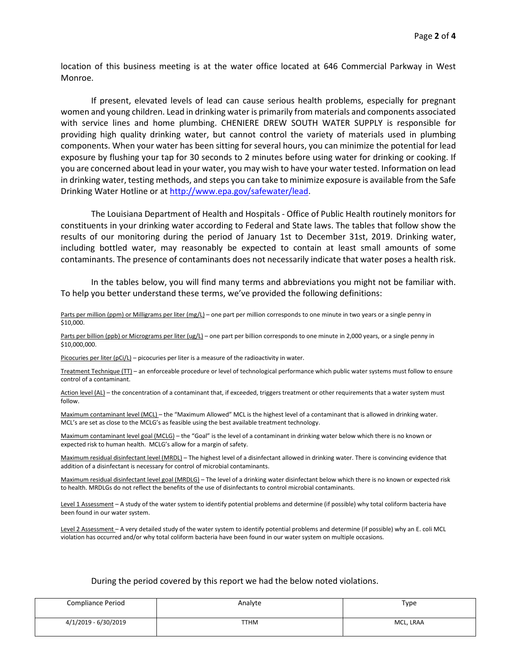location of this business meeting is at the water office located at 646 Commercial Parkway in West Monroe.

 If present, elevated levels of lead can cause serious health problems, especially for pregnant women and young children. Lead in drinking water is primarily from materials and components associated with service lines and home plumbing. CHENIERE DREW SOUTH WATER SUPPLY is responsible for providing high quality drinking water, but cannot control the variety of materials used in plumbing components. When your water has been sitting for several hours, you can minimize the potential for lead exposure by flushing your tap for 30 seconds to 2 minutes before using water for drinking or cooking. If you are concerned about lead in your water, you may wish to have your water tested. Information on lead in drinking water, testing methods, and steps you can take to minimize exposure is available from the Safe Drinking Water Hotline or at http://www.epa.gov/safewater/lead.

 The Louisiana Department of Health and Hospitals - Office of Public Health routinely monitors for constituents in your drinking water according to Federal and State laws. The tables that follow show the results of our monitoring during the period of January 1st to December 31st, 2019. Drinking water, including bottled water, may reasonably be expected to contain at least small amounts of some contaminants. The presence of contaminants does not necessarily indicate that water poses a health risk.

 In the tables below, you will find many terms and abbreviations you might not be familiar with. To help you better understand these terms, we've provided the following definitions:

Parts per million (ppm) or Milligrams per liter (mg/L) – one part per million corresponds to one minute in two years or a single penny in \$10,000.

Parts per billion (ppb) or Micrograms per liter (ug/L) – one part per billion corresponds to one minute in 2,000 years, or a single penny in \$10,000,000.

Picocuries per liter (pCi/L) – picocuries per liter is a measure of the radioactivity in water.

Treatment Technique (TT) – an enforceable procedure or level of technological performance which public water systems must follow to ensure control of a contaminant.

Action level (AL) – the concentration of a contaminant that, if exceeded, triggers treatment or other requirements that a water system must follow.

Maximum contaminant level (MCL) – the "Maximum Allowed" MCL is the highest level of a contaminant that is allowed in drinking water. MCL's are set as close to the MCLG's as feasible using the best available treatment technology.

Maximum contaminant level goal (MCLG) – the "Goal" is the level of a contaminant in drinking water below which there is no known or expected risk to human health. MCLG's allow for a margin of safety.

Maximum residual disinfectant level (MRDL) – The highest level of a disinfectant allowed in drinking water. There is convincing evidence that addition of a disinfectant is necessary for control of microbial contaminants.

Maximum residual disinfectant level goal (MRDLG) – The level of a drinking water disinfectant below which there is no known or expected risk to health. MRDLGs do not reflect the benefits of the use of disinfectants to control microbial contaminants.

Level 1 Assessment – A study of the water system to identify potential problems and determine (if possible) why total coliform bacteria have been found in our water system.

Level 2 Assessment - A very detailed study of the water system to identify potential problems and determine (if possible) why an E. coli MCL violation has occurred and/or why total coliform bacteria have been found in our water system on multiple occasions.

## During the period covered by this report we had the below noted violations.

| Compliance Period    | Analyte     | Type      |
|----------------------|-------------|-----------|
| 4/1/2019 - 6/30/2019 | <b>TTHM</b> | MCL, LRAA |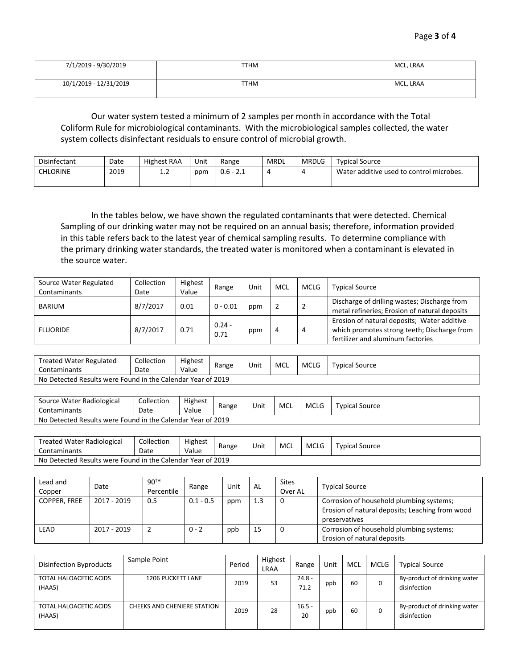| 7/1/2019 - 9/30/2019   | TTHM | MCL, LRAA |
|------------------------|------|-----------|
| 10/1/2019 - 12/31/2019 | TTHM | MCL, LRAA |

Our water system tested a minimum of 2 samples per month in accordance with the Total Coliform Rule for microbiological contaminants. With the microbiological samples collected, the water system collects disinfectant residuals to ensure control of microbial growth.

| <b>Disinfectant</b> | Date | Highest RAA | Unit | Range       | <b>MRDL</b> | <b>MRDLG</b> | <b>Typical Source</b>                    |
|---------------------|------|-------------|------|-------------|-------------|--------------|------------------------------------------|
| CHLORINE            | 2019 | $\pm . 2$   | ppm  | $0.6 - 2.1$ |             |              | Water additive used to control microbes. |

 In the tables below, we have shown the regulated contaminants that were detected. Chemical Sampling of our drinking water may not be required on an annual basis; therefore, information provided in this table refers back to the latest year of chemical sampling results. To determine compliance with the primary drinking water standards, the treated water is monitored when a contaminant is elevated in the source water.

| Source Water Regulated<br>Contaminants | Collection<br>Date | Highest<br>Value | Range            | Unit | MCL | MCLG | <b>Typical Source</b>                                                                                                           |
|----------------------------------------|--------------------|------------------|------------------|------|-----|------|---------------------------------------------------------------------------------------------------------------------------------|
| <b>BARIUM</b>                          | 8/7/2017           | 0.01             | $0 - 0.01$       | ppm  |     |      | Discharge of drilling wastes; Discharge from<br>metal refineries; Erosion of natural deposits                                   |
| <b>FLUORIDE</b>                        | 8/7/2017           | 0.71             | $0.24 -$<br>0.71 | ppm  | Д   | 4    | Erosion of natural deposits; Water additive<br>which promotes strong teeth; Discharge from<br>fertilizer and aluminum factories |

| Treated Water Regulated<br><b>Contaminants</b>              | Collection<br>Date | Highest<br>Value | Range | Unit | MCL | MCLG | <b>Typical Source</b> |
|-------------------------------------------------------------|--------------------|------------------|-------|------|-----|------|-----------------------|
| No Detected Results were Found in the Calendar Year of 2019 |                    |                  |       |      |     |      |                       |

| Source Water Radiological<br>Contaminants                   | Collection<br>Date | Highest<br>Value | Range | Unit | MCL | <b>MCLG</b> | Typical Source |
|-------------------------------------------------------------|--------------------|------------------|-------|------|-----|-------------|----------------|
| No Detected Results were Found in the Calendar Year of 2019 |                    |                  |       |      |     |             |                |

| Treated Water Radiological<br>Contaminants                  | Collection<br>Date | Highest<br>Value | Range | Unit | MCL | <b>MCLG</b> | Typical Source |
|-------------------------------------------------------------|--------------------|------------------|-------|------|-----|-------------|----------------|
| No Detected Results were Found in the Calendar Year of 2019 |                    |                  |       |      |     |             |                |

| Lead and<br>Copper  | Date        | 90 <sup>TH</sup><br>Percentile | Range       | Unit | AL  | Sites<br>Over AL | <b>Typical Source</b>                                                                                        |
|---------------------|-------------|--------------------------------|-------------|------|-----|------------------|--------------------------------------------------------------------------------------------------------------|
| <b>COPPER, FREE</b> | 2017 - 2019 | 0.5                            | $0.1 - 0.5$ | ppm  | 1.3 | 0                | Corrosion of household plumbing systems;<br>Erosion of natural deposits; Leaching from wood<br>preservatives |
| LEAD                | 2017 - 2019 |                                | $0 - 2$     | ppb  | 15  | 0                | Corrosion of household plumbing systems;<br>Erosion of natural deposits                                      |

| <b>Disinfection Byproducts</b>   | Sample Point                | Period | Highest<br><b>LRAA</b> | Range            | Unit | MCL | MCLG | <b>Typical Source</b>                        |
|----------------------------------|-----------------------------|--------|------------------------|------------------|------|-----|------|----------------------------------------------|
| TOTAL HALOACETIC ACIDS<br>(HAA5) | <b>1206 PUCKETT LANE</b>    | 2019   | 53                     | $24.8 -$<br>71.2 | ppb  | 60  | 0    | By-product of drinking water<br>disinfection |
| TOTAL HALOACETIC ACIDS<br>(HAA5) | CHEEKS AND CHENIERE STATION | 2019   | 28                     | $16.5 -$<br>20   | ppb  | 60  | 0    | By-product of drinking water<br>disinfection |